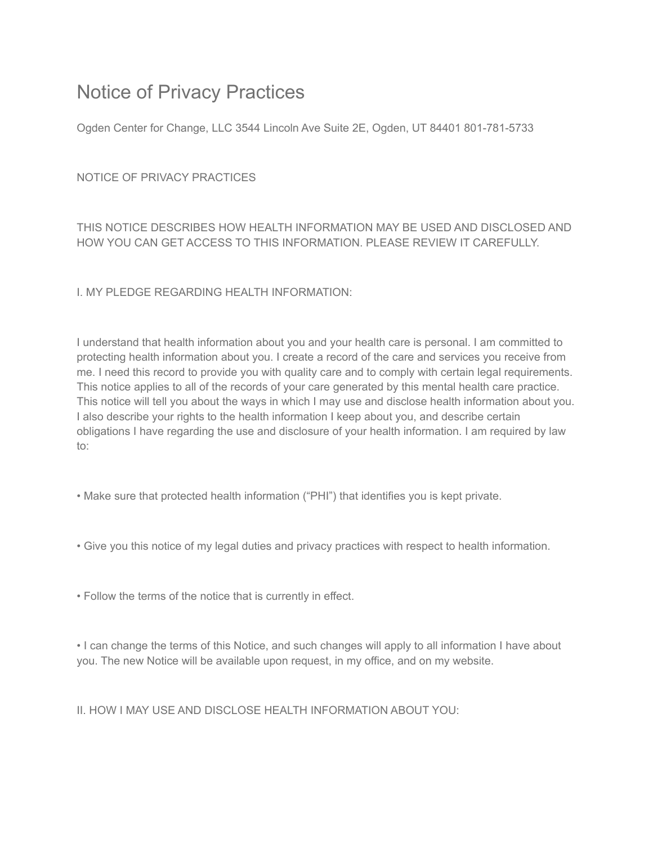## Notice of Privacy Practices

Ogden Center for Change, LLC 3544 Lincoln Ave Suite 2E, Ogden, UT 84401 801-781-5733

NOTICE OF PRIVACY PRACTICES

THIS NOTICE DESCRIBES HOW HEALTH INFORMATION MAY BE USED AND DISCLOSED AND HOW YOU CAN GET ACCESS TO THIS INFORMATION. PLEASE REVIEW IT CAREFULLY.

I. MY PLEDGE REGARDING HEALTH INFORMATION:

I understand that health information about you and your health care is personal. I am committed to protecting health information about you. I create a record of the care and services you receive from me. I need this record to provide you with quality care and to comply with certain legal requirements. This notice applies to all of the records of your care generated by this mental health care practice. This notice will tell you about the ways in which I may use and disclose health information about you. I also describe your rights to the health information I keep about you, and describe certain obligations I have regarding the use and disclosure of your health information. I am required by law to:

- Make sure that protected health information ("PHI") that identifies you is kept private.
- Give you this notice of my legal duties and privacy practices with respect to health information.
- Follow the terms of the notice that is currently in effect.

• I can change the terms of this Notice, and such changes will apply to all information I have about you. The new Notice will be available upon request, in my office, and on my website.

II. HOW I MAY USE AND DISCLOSE HEALTH INFORMATION ABOUT YOU: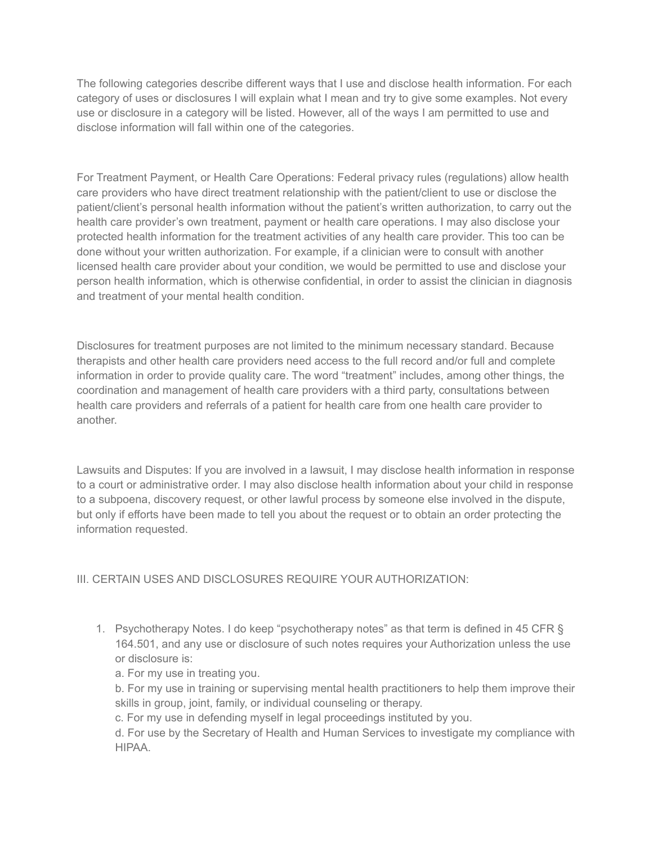The following categories describe different ways that I use and disclose health information. For each category of uses or disclosures I will explain what I mean and try to give some examples. Not every use or disclosure in a category will be listed. However, all of the ways I am permitted to use and disclose information will fall within one of the categories.

For Treatment Payment, or Health Care Operations: Federal privacy rules (regulations) allow health care providers who have direct treatment relationship with the patient/client to use or disclose the patient/client's personal health information without the patient's written authorization, to carry out the health care provider's own treatment, payment or health care operations. I may also disclose your protected health information for the treatment activities of any health care provider. This too can be done without your written authorization. For example, if a clinician were to consult with another licensed health care provider about your condition, we would be permitted to use and disclose your person health information, which is otherwise confidential, in order to assist the clinician in diagnosis and treatment of your mental health condition.

Disclosures for treatment purposes are not limited to the minimum necessary standard. Because therapists and other health care providers need access to the full record and/or full and complete information in order to provide quality care. The word "treatment" includes, among other things, the coordination and management of health care providers with a third party, consultations between health care providers and referrals of a patient for health care from one health care provider to another.

Lawsuits and Disputes: If you are involved in a lawsuit, I may disclose health information in response to a court or administrative order. I may also disclose health information about your child in response to a subpoena, discovery request, or other lawful process by someone else involved in the dispute, but only if efforts have been made to tell you about the request or to obtain an order protecting the information requested.

## III. CERTAIN USES AND DISCLOSURES REQUIRE YOUR AUTHORIZATION:

- 1. Psychotherapy Notes. I do keep "psychotherapy notes" as that term is defined in 45 CFR § 164.501, and any use or disclosure of such notes requires your Authorization unless the use or disclosure is:
	- a. For my use in treating you.

b. For my use in training or supervising mental health practitioners to help them improve their skills in group, joint, family, or individual counseling or therapy.

c. For my use in defending myself in legal proceedings instituted by you.

d. For use by the Secretary of Health and Human Services to investigate my compliance with HIPAA.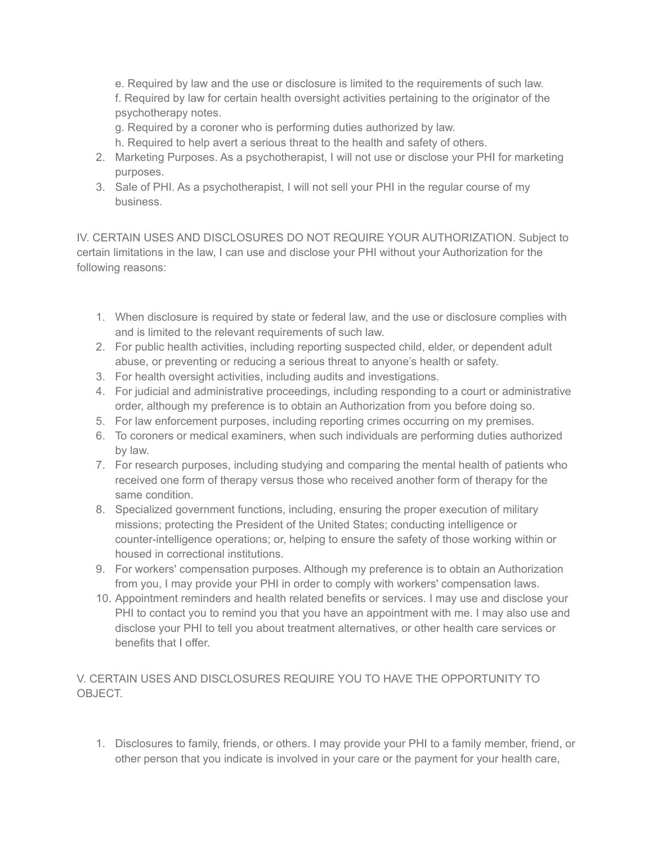e. Required by law and the use or disclosure is limited to the requirements of such law. f. Required by law for certain health oversight activities pertaining to the originator of the psychotherapy notes.

- g. Required by a coroner who is performing duties authorized by law.
- h. Required to help avert a serious threat to the health and safety of others.
- 2. Marketing Purposes. As a psychotherapist, I will not use or disclose your PHI for marketing purposes.
- 3. Sale of PHI. As a psychotherapist, I will not sell your PHI in the regular course of my business.

IV. CERTAIN USES AND DISCLOSURES DO NOT REQUIRE YOUR AUTHORIZATION. Subject to certain limitations in the law, I can use and disclose your PHI without your Authorization for the following reasons:

- 1. When disclosure is required by state or federal law, and the use or disclosure complies with and is limited to the relevant requirements of such law.
- 2. For public health activities, including reporting suspected child, elder, or dependent adult abuse, or preventing or reducing a serious threat to anyone's health or safety.
- 3. For health oversight activities, including audits and investigations.
- 4. For judicial and administrative proceedings, including responding to a court or administrative order, although my preference is to obtain an Authorization from you before doing so.
- 5. For law enforcement purposes, including reporting crimes occurring on my premises.
- 6. To coroners or medical examiners, when such individuals are performing duties authorized by law.
- 7. For research purposes, including studying and comparing the mental health of patients who received one form of therapy versus those who received another form of therapy for the same condition.
- 8. Specialized government functions, including, ensuring the proper execution of military missions; protecting the President of the United States; conducting intelligence or counter-intelligence operations; or, helping to ensure the safety of those working within or housed in correctional institutions.
- 9. For workers' compensation purposes. Although my preference is to obtain an Authorization from you, I may provide your PHI in order to comply with workers' compensation laws.
- 10. Appointment reminders and health related benefits or services. I may use and disclose your PHI to contact you to remind you that you have an appointment with me. I may also use and disclose your PHI to tell you about treatment alternatives, or other health care services or benefits that I offer.

V. CERTAIN USES AND DISCLOSURES REQUIRE YOU TO HAVE THE OPPORTUNITY TO OBJECT.

1. Disclosures to family, friends, or others. I may provide your PHI to a family member, friend, or other person that you indicate is involved in your care or the payment for your health care,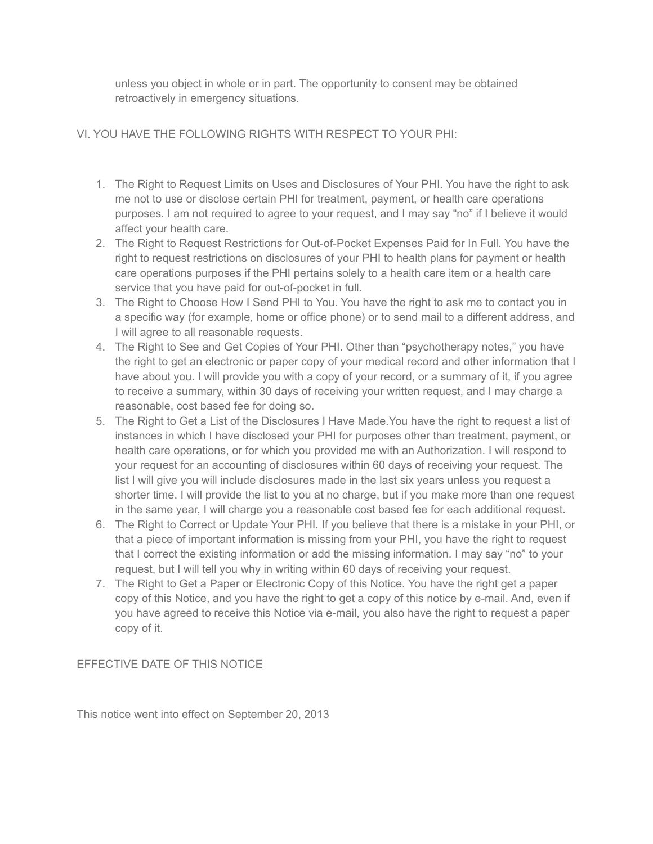unless you object in whole or in part. The opportunity to consent may be obtained retroactively in emergency situations.

## VI. YOU HAVE THE FOLLOWING RIGHTS WITH RESPECT TO YOUR PHI:

- 1. The Right to Request Limits on Uses and Disclosures of Your PHI. You have the right to ask me not to use or disclose certain PHI for treatment, payment, or health care operations purposes. I am not required to agree to your request, and I may say "no" if I believe it would affect your health care.
- 2. The Right to Request Restrictions for Out-of-Pocket Expenses Paid for In Full. You have the right to request restrictions on disclosures of your PHI to health plans for payment or health care operations purposes if the PHI pertains solely to a health care item or a health care service that you have paid for out-of-pocket in full.
- 3. The Right to Choose How I Send PHI to You. You have the right to ask me to contact you in a specific way (for example, home or office phone) or to send mail to a different address, and I will agree to all reasonable requests.
- 4. The Right to See and Get Copies of Your PHI. Other than "psychotherapy notes," you have the right to get an electronic or paper copy of your medical record and other information that I have about you. I will provide you with a copy of your record, or a summary of it, if you agree to receive a summary, within 30 days of receiving your written request, and I may charge a reasonable, cost based fee for doing so.
- 5. The Right to Get a List of the Disclosures I Have Made.You have the right to request a list of instances in which I have disclosed your PHI for purposes other than treatment, payment, or health care operations, or for which you provided me with an Authorization. I will respond to your request for an accounting of disclosures within 60 days of receiving your request. The list I will give you will include disclosures made in the last six years unless you request a shorter time. I will provide the list to you at no charge, but if you make more than one request in the same year, I will charge you a reasonable cost based fee for each additional request.
- 6. The Right to Correct or Update Your PHI. If you believe that there is a mistake in your PHI, or that a piece of important information is missing from your PHI, you have the right to request that I correct the existing information or add the missing information. I may say "no" to your request, but I will tell you why in writing within 60 days of receiving your request.
- 7. The Right to Get a Paper or Electronic Copy of this Notice. You have the right get a paper copy of this Notice, and you have the right to get a copy of this notice by e-mail. And, even if you have agreed to receive this Notice via e-mail, you also have the right to request a paper copy of it.

## EFFECTIVE DATE OF THIS NOTICE

This notice went into effect on September 20, 2013